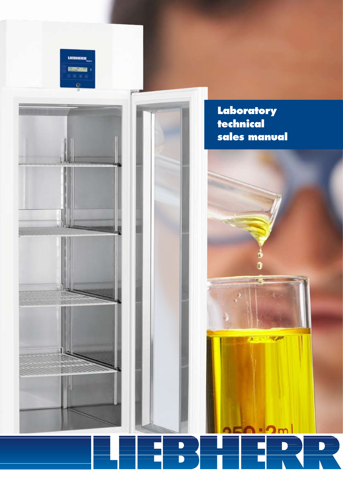



**Laboratory technical sales manual**

1

in

 $\lambda = -\sqrt{2\pi}$ 

# D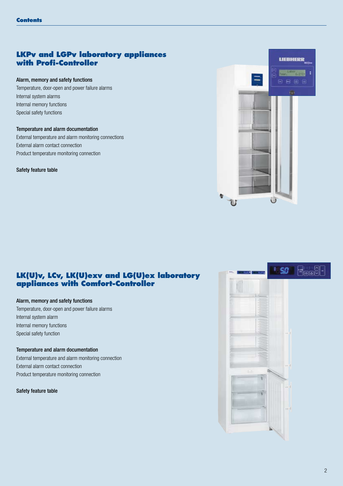# **LKPv and LGPv laboratory appliances with Profi-Controller**

#### Alarm, memory and safety functions

Temperature, door-open and power failure alarms Internal system alarms Internal memory functions Special safety functions

#### Temperature and alarm documentation

External temperature and alarm monitoring connections External alarm contact connection Product temperature monitoring connection

#### Safety feature table



# **LK(U)v, LCv, LK(U)exv and LG(U)ex laboratory appliances with Comfort-Controller**

#### Alarm, memory and safety functions

Temperature, door-open and power failure alarms Internal system alarm Internal memory functions Special safety function

#### Temperature and alarm documentation

External temperature and alarm monitoring connection External alarm contact connection Product temperature monitoring connection

Safety feature table

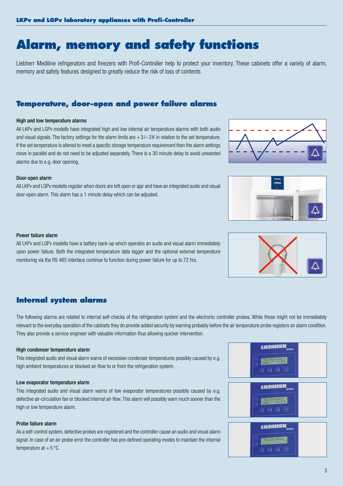# **Alarm, memory and safety functions**

Liebherr Mediline refrigerators and freezers with Profi-Controller help to protect your inventory. These cabinets offer a variety of alarm, memory and safety features designed to greatly reduce the risk of loss of contents.

## **Temperature, door-open and power failure alarms**

#### High and low temperature alarms

All LKPv and LGPv modells have integrated high and low internal air temperature alarms with both audio and visual signals. The factory settings for the alarm limits are  $+3/2$  K in relation to the set temperature. If the set temperature is altered to meet a specific storage temperature requirement then the alarm settings move in parallel and do not need to be adjusted separately. There is a 30 minute delay to avoid unwanted alarms due to e.g. door opening.

#### Door-open alarm

All LKPv and LGPv modells register when doors are left open or ajar and have an integrated audio and visual door-open alarm. This alarm has a 1 minute delay which can be adjusted.

#### Power failure alarm

All LKPv and LGPv modells have a battery back-up which operates an audio and visual alarm immediately upon power failure. Both the integrated temperature data logger and the optional external temperature monitoring via the RS 485 interface continue to function during power failure for up to 72 hrs.

## **Internal system alarms**

The following alarms are related to internal self-checks of the refrigeration system and the electronic controller probes. While these might not be immediately relevant to the everyday operation of the cabinets they do provide added security by warning probably before the air temperature probe registers an alarm condition. They also provide a service engineer with valuable information thus allowing quicker intervention.

#### High condenser temperature alarm

This integrated audio and visual alarm warns of excessive condenser temperatures possibly caused by e.g. high ambient temperatures or blocked air-flow to or from the refrigeration system.

#### Low evaporator temperature alarm

This integrated audio and visual alarm warns of low evaporator temperatures possibly caused by e.g. defective air-circulation fan or blocked internal air-flow. This alarm will possibly warn much sooner than the high or low temperature alarm.

#### Probe failure alarm

As a self-control system, defective probes are registered and the controller cause an audio and visual alarm signal. In case of an air-probe error the controller has pre-defined operating modes to maintain the internal temperature at  $+5^{\circ}$ C.







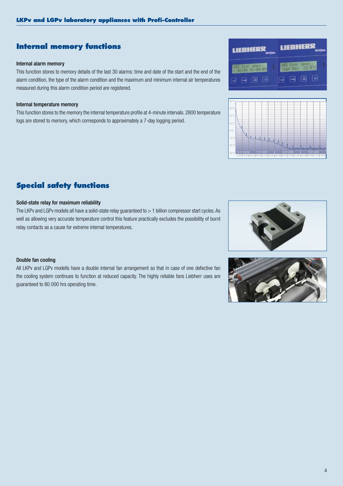# **Internal memory functions**

#### Internal alarm memory

This function stores to memory details of the last 30 alarms: time and date of the start and the end of the alarm condition, the type of the alarm condition and the maximum and minimum internal air temperatures measured during this alarm condition period are registered.

#### Internal temperature memory

This function stores to the memory the internal temperature profile at 4-minute intervals. 2800 temperature logs are stored to memory, which corresponds to approximately a 7-day logging period.

# **Special safety functions**

#### Solid-state relay for maximum reliability

The LKPv and LGPv models all have a solid-state relay guaranteed to > 1 billion compressor start cycles. As well as allowing very accurate temperature control this feature practically excludes the possibility of burnt relay contacts as a cause for extreme internal temperatures.

#### Double fan cooling

All LKPv and LGPv modells have a double internal fan arrangement so that in case of one defective fan the cooling system continues to function at reduced capacity. The highly reliable fans Liebherr uses are guaranteed to 80 000 hrs operating time.

**LIEBHERF LIEBHERR** ঢি  $\sqrt{a}$  $\sqrt{2}$ 



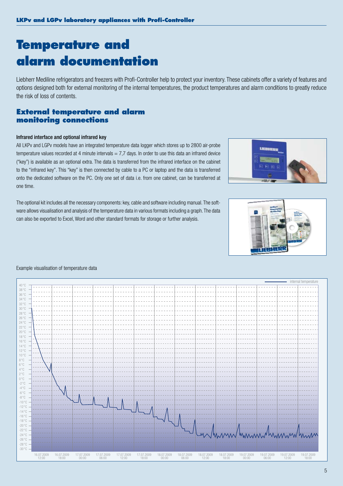# **Temperature and alarm documentation**

Liebherr Mediline refrigerators and freezers with Profi-Controller help to protect your inventory. These cabinets offer a variety of features and options designed both for external monitoring of the internal temperatures, the product temperatures and alarm conditions to greatly reduce the risk of loss of contents.

## **External temperature and alarm monitoring connections**

#### Infrared interface and optional infrared key

All LKPv and LGPv models have an integrated temperature data logger which stores up to 2800 air-probe temperature values recorded at 4 minute intervals  $= 7.7$  days. In order to use this data an infrared device ("key") is available as an optional extra. The data is transferred from the infrared interface on the cabinet to the "infrared key". This "key" is then connected by cable to a PC or laptop and the data is transferred onto the dedicated software on the PC. Only one set of data i.e. from one cabinet, can be transferred at one time.

The optional kit includes all the necessary components: key, cable and software including manual. The software allows visualisation and analysis of the temperature data in various formats including a graph. The data can also be exported to Excel, Word and other standard formats for storage or further analysis.





#### Example visualisation of temperature data

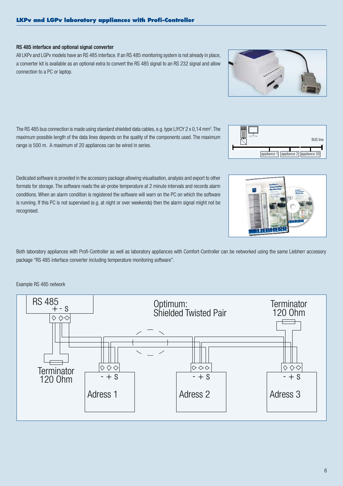#### RS 485 interface and optional signal converter

All LKPv and LGPv models have an RS 485 interface. If an RS 485 monitoring system is not already in place, a converter kit is available as an optional extra to convert the RS 485 signal to an RS 232 signal and allow connection to a PC or laptop.

The RS 485 bus connection is made using standard shielded data cables, e.g. type LiYCY 2 x 0,14 mm2 . The maximum possible length of the data lines depends on the quality of the components used. The maximum range is 500 m. A maximum of 20 appliances can be wired in series.

Dedicated software is provided in the accessory package allowing visualisation, analysis and export to other formats for storage. The software reads the air-probe temperature at 2 minute intervals and records alarm conditions. When an alarm condition is registered the software will warn on the PC on which the software is running. If this PC is not supervised (e.g. at night or over weekends) then the alarm signal might not be recognised.

Both laboratory appliances with Profi-Controller as well as laboratory appliances with Comfort-Controller can be networked using the same Liebherr accessory package "RS 485 interface converter including temperature monitoring software".

Example RS 485 network







appliance 1 appliance 2 appliance 20

BUS line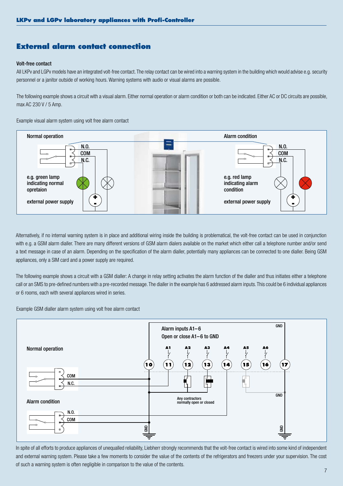# **External alarm contact connection**

#### Volt-free contact

All LKPv and LGPv models have an integrated volt-free contact. The relay contact can be wired into a warning system in the building which would advise e.g. security personnel or a janitor outside of working hours. Warning systems with audio or visual alarms are possible.

The following example shows a circuit with a visual alarm. Either normal operation or alarm condition or both can be indicated. Either AC or DC circuits are possible, max AC 230 V / 5 Amp.

Example visual alarm system using volt free alarm contact



Alternatively, if no internal warning system is in place and additional wiring inside the building is problematical, the volt-free contact can be used in conjunction with e.g. a GSM alarm dialler. There are many different versions of GSM alarm dialers available on the market which either call a telephone number and/or send a text message in case of an alarm. Depending on the specification of the alarm dialler, potentially many appliances can be connected to one dialler. Being GSM appliances, only a SIM card and a power supply are required.

The following example shows a circuit with a GSM dialler: A change in relay setting activates the alarm function of the dialler and thus initiates either a telephone call or an SMS to pre-defined numbers with a pre-recorded message. The dialler in the example has 6 addressed alarm inputs. This could be 6 individual appliances or 6 rooms, each with several appliances wired in series.

Example GSM dialler alarm system using volt free alarm contact



In spite of all efforts to produce appliances of unequalled reliability, Liebherr strongly recommends that the volt-free contact is wired into some kind of independent and external warning system. Please take a few moments to consider the value of the contents of the refrigerators and freezers under your supervision. The cost of such a warning system is often negligible in comparison to the value of the contents.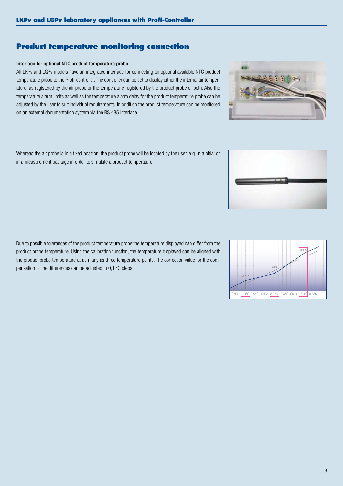8

# **Product temperature monitoring connection**

#### Interface for optional NTC product temperature probe

All LKPv and LGPv models have an integrated interface for connecting an optional available NTC product temperature probe to the Profi-controller. The controller can be set to display either the internal air temperature, as registered by the air probe or the temperature registered by the product probe or both. Also the temperature alarm limits as well as the temperature alarm delay for the product temperature probe can be adjusted by the user to suit individual requirements. In addition the product temperature can be monitored on an external documentation system via the RS 485 interface.

Whereas the air probe is in a fixed position, the product probe will be located by the user, e.g. in a phial or in a measurement package in order to simulate a product temperature.

Due to possible tolerances of the product temperature probe the temperature displayed can differ from the product probe temperature. Using the calibration function, the temperature displayed can be aligned with the product probe temperature at as many as three temperature points. The correction value for the compensation of the differences can be adjusted in 0,1 °C steps.





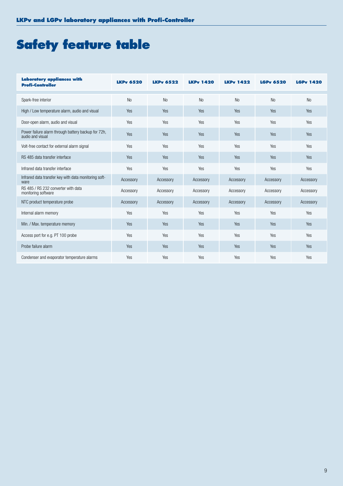# **Safety feature table**

| <b>Laboratory appliances with</b><br><b>Profi-Controller</b>            | <b>LKPv 6520</b> | <b>LKPv 6522</b> | <b>LKPv 1420</b> | <b>LKPv 1422</b> | <b>LGPv 6520</b> | <b>LGPv 1420</b> |  |
|-------------------------------------------------------------------------|------------------|------------------|------------------|------------------|------------------|------------------|--|
| Spark-free interior                                                     | <b>No</b>        | <b>No</b>        | <b>No</b>        | <b>No</b>        | <b>No</b>        | <b>No</b>        |  |
| High / Low temperature alarm, audio and visual                          | Yes              | Yes              | Yes              | Yes              | Yes              | Yes              |  |
| Door-open alarm, audio and visual                                       | Yes              | Yes              | Yes              | Yes              | Yes              | Yes              |  |
| Power failure alarm through battery backup for 72h,<br>audio and visual | Yes              | Yes              | Yes              | Yes              | Yes              | Yes              |  |
| Volt-free contact for external alarm signal                             | Yes              | Yes              | Yes              | Yes              | Yes              | Yes              |  |
| RS 485 data transfer interface                                          | Yes              | Yes              | Yes              | Yes              | Yes              | Yes              |  |
| Infrared data transfer interface                                        | Yes              | Yes              | Yes              | Yes              | Yes              | Yes              |  |
| Infrared data transfer key with data monitoring soft-<br>ware           | Accessory        | Accessory        | Accessory        | Accessory        | Accessory        | Accessory        |  |
| RS 485 / RS 232 converter with data<br>monitoring software              | Accessory        | Accessory        | Accessory        | Accessory        | Accessory        | Accessory        |  |
| NTC product temperature probe                                           | Accessory        | Accessory        | Accessory        | Accessory        | Accessory        | Accessory        |  |
| Internal alarm memory                                                   | Yes              | Yes              | Yes              | Yes              | Yes              | Yes              |  |
| Min. / Max. temperature memory                                          | Yes              | Yes              | Yes              | Yes              | Yes              | Yes              |  |
| Access port for e.g. PT 100 probe                                       | Yes              | Yes              | Yes              | Yes              | Yes              | Yes              |  |
| Probe failure alarm                                                     | Yes              | <b>Yes</b>       | <b>Yes</b>       | Yes              | Yes              | <b>Yes</b>       |  |
| Condenser and evaporator temperature alarms                             | Yes              | Yes              | Yes              | Yes              | Yes              | Yes              |  |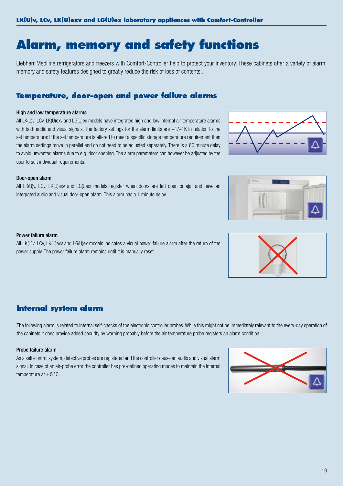# **Alarm, memory and safety functions**

Liebherr Mediline refrigerators and freezers with Comfort-Controller help to protect your inventory. These cabinets offer a variety of alarm, memory and safety features designed to greatly reduce the risk of loss of contents .

# **Temperature, door-open and power failure alarms**

### High and low temperature alarms

All LK(U)v, LCv, LK(U)exv and LG(U)ex models have integrated high and low internal air temperature alarms with both audio and visual signals. The factory settings for the alarm limits are  $+1/-1K$  in relation to the set temperature: If the set temperature is altered to meet a specific storage temperature requirement then the alarm settings move in parallel and do not need to be adjusted separately. There is a 60 minute delay to avoid unwanted alarms due to e.g. door opening. The alarm parameters can however be adjusted by the user to suit individual requirements.

#### Door-open alarm

All LK(U)v, LCv, LK(U)exv and LG(U)ex models register when doors are left open or ajar and have an integrated audio and visual door-open alarm. This alarm has a 1 minute delay.

#### Power failure alarm

All LK(U)v, LCv, LK(U)exv and LG(U)ex models indicates a visual power failure alarm after the return of the power supply. The power failure alarm remains until it is manually reset.

# **Internal system alarm**

The following alarm is related to internal self-checks of the electronic controller probes. While this might not be immediately relevant to the every-day operation of the cabinets it does provide added security by warning probably before the air temperature probe registers an alarm condition.

#### Probe failure alarm

As a self-control system, defective probes are registered and the controller cause an audio and visual alarm signal. In case of an air-probe error the controller has pre-defined operating modes to maintain the internal temperature at  $+5^{\circ}$ C.







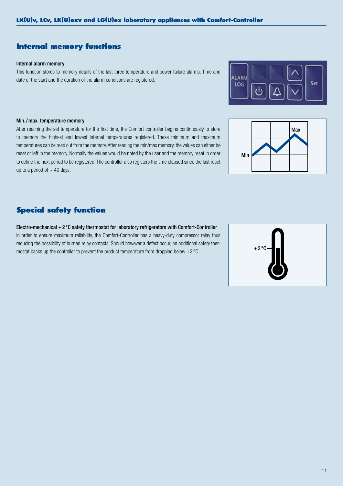# **Internal memory functions**

#### Internal alarm memory

This function stores to memory details of the last three temperature and power failure alarms. Time and date of the start and the duration of the alarm conditions are registered.



After reaching the set temperature for the first time, the Comfort controller begins continuously to store to memory the highest and lowest internal temperatures registered. These minimum and maximum temperatures can be read out from the memory. After reading the min/max memory, the values can either be reset or left in the memory. Normally the values would be noted by the user and the memory reset in order to define the next period to be registered. The controller also registers the time elapsed since the last reset up to a period of  $\sim$  40 days.

# **Special safety function**

Electro-mechanical +2 °C safety thermostat for laboratory refrigerators with Comfort-Controller In order to ensure maximum reliability, the Comfort-Controller has a heavy-duty compressor relay thus reducing the possibility of burned relay contacts. Should however a defect occur, an additional safety thermostat backs up the controller to prevent the product temperature from dropping below +2 °C.





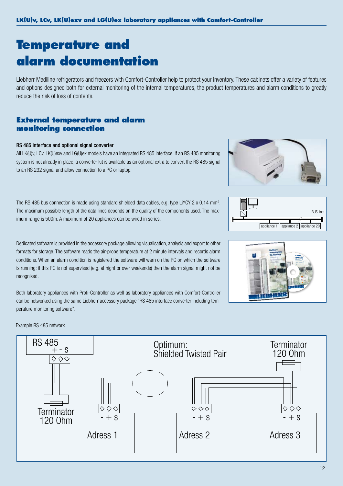# **Temperature and alarm documentation**

Liebherr Mediline refrigerators and freezers with Comfort-Controller help to protect your inventory. These cabinets offer a variety of features and options designed both for external monitoring of the internal temperatures, the product temperatures and alarm conditions to greatly reduce the risk of loss of contents.

# **External temperature and alarm monitoring connection**

#### RS 485 interface and optional signal converter

All LK(U)v, LCv, LK(U)exv and LG(U)ex models have an integrated RS 485 interface. If an RS 485 monitoring system is not already in place, a converter kit is available as an optional extra to convert the RS 485 signal to an RS 232 signal and allow connection to a PC or laptop.

The RS 485 bus connection is made using standard shielded data cables, e.g. type LiYCY 2 x 0,14 mm<sup>2</sup>. The maximum possible length of the data lines depends on the quality of the components used. The maximum range is 500m. A maximum of 20 appliances can be wired in series.

Dedicated software is provided in the accessory package allowing visualisation, analysis and export to other formats for storage. The software reads the air-probe temperature at 2 minute intervals and records alarm conditions. When an alarm condition is registered the software will warn on the PC on which the software is running: if this PC is not supervised (e.g. at night or over weekends) then the alarm signal might not be recognised.

Both laboratory appliances with Profi-Controller as well as laboratory appliances with Comfort-Controller can be networked using the same Liebherr accessory package "RS 485 interface converter including temperature monitoring software".







RS 485 Optimum: **Terminator** +- s Shielded Twisted Pair 120 Ohm  $\diamond \diamond \diamond$ Terminator  $\frac{|\diamond \diamond \diamond \diamond|}{120 \text{ Ohm}}$   $\frac{|\diamond \diamond \diamond \diamond|}{-+ \text{ s}}$   $\frac{|\diamond \diamond \diamond \diamond \diamond|}{-+ \text{ s}}$  $- + S$ Adress 1 Adress 2 Adress 3

Example RS 485 network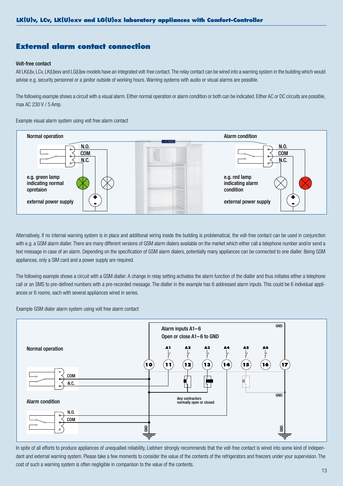## **External alarm contact connection**

#### Volt-free contact

All LK(U)v, LCv, LK(U)exv and LG(U)ex models have an integrated volt-free contact. The relay contact can be wired into a warning system in the building which would advise e.g. security personnel or a janitor outside of working hours. Warning systems with audio or visual alarms are possible.

The following example shows a circuit with a visual alarm. Either normal operation or alarm condition or both can be indicated. Either AC or DC circuits are possible, max AC 230 V / 5 Amp.

Example visual alarm system using volt free alarm contact



Alternatively, if no internal warning system is in place and additional wiring inside the building is problematical, the volt-free contact can be used in conjunction with e.g. a GSM alarm dialler. There are many different versions of GSM alarm dialers available on the market which either call a telephone number and/or send a text message in case of an alarm. Depending on the specification of GSM alarm dialers, potentially many appliances can be connected to one dialler. Being GSM appliances, only a SIM card and a power supply are required.

The following example shows a circuit with a GSM dialler: A change in relay setting activates the alarm function of the dialler and thus initiates either a telephone call or an SMS to pre-defined numbers with a pre-recorded message. The dialler in the example has 6 addressed alarm inputs. This could be 6 individual appliances or 6 rooms, each with several appliances wired in series.

Example GSM dialer alarm system using volt free alarm contact



In spite of all efforts to produce appliances of unequalled reliability, Liebherr strongly recommends that the volt-free contact is wired into some kind of independent and external warning system. Please take a few moments to consider the value of the contents of the refrigerators and freezers under your supervision. The cost of such a warning system is often negligible in comparison to the value of the contents.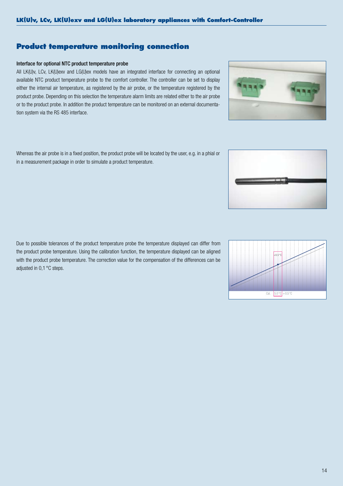14

# **Product temperature monitoring connection**

#### Interface for optional NTC product temperature probe

All LK(U)v, LCv, LK(U)exv and LG(U)ex models have an integrated interface for connecting an optional available NTC product temperature probe to the comfort controller. The controller can be set to display either the internal air temperature, as registered by the air probe, or the temperature registered by the product probe. Depending on this selection the temperature alarm limits are related either to the air probe or to the product probe. In addition the product temperature can be monitored on an external documentation system via the RS 485 interface.

Whereas the air probe is in a fixed position, the product probe will be located by the user, e.g. in a phial or in a measurement package in order to simulate a product temperature.

Due to possible tolerances of the product temperature probe the temperature displayed can differ from the product probe temperature. Using the calibration function, the temperature displayed can be aligned with the product probe temperature. The correction value for the compensation of the differences can be adjusted in 0,1 °C steps.